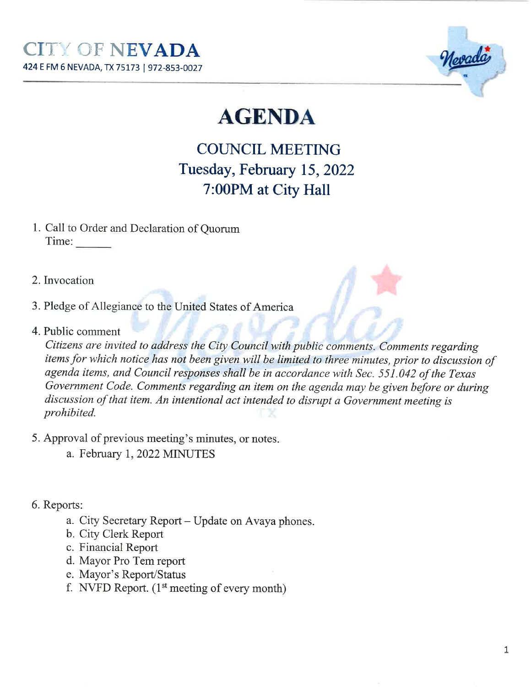

# **AGENDA**

## **COUNCIL MEETING** Tuesday, February 15, 2022 7:00PM at City Hall

- 1. Call to Order and Declaration of Ouorum Time:
- 2. Invocation
- 3. Pledge of Allegiance to the United States of America
- 4. Public comment

Citizens are invited to address the City Council with public comments. Comments regarding items for which notice has not been given will be limited to three minutes, prior to discussion of agenda items, and Council responses shall be in accordance with Sec. 551.042 of the Texas Government Code. Comments regarding an item on the agenda may be given before or during discussion of that item. An intentional act intended to disrupt a Government meeting is prohibited.

- 5. Approval of previous meeting's minutes, or notes.
	- a. February 1, 2022 MINUTES
- 6. Reports:
	- a. City Secretary Report Update on Avaya phones.
	- b. City Clerk Report
	- c. Financial Report
	- d. Mayor Pro Tem report
	- e. Mayor's Report/Status
	- f. NVFD Report.  $(1<sup>st</sup> meeting of every month)$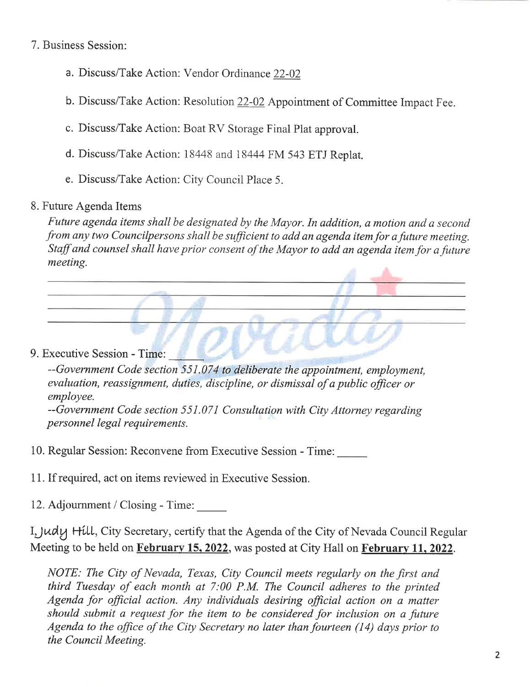7. Business Session:

- a. Discuss/Take Action: Vendor Ordinance 22-02
- b. Discuss/Take Action: Resolution  $22-02$  Appointment of Committee Impact Fee.
- c. Discuss/Take Action: Boat RV Storage Final Plat approval.
- d. Discuss/Take Action:  $18448$  and  $18444$  FM 543 ETJ Replat.
- e. Discuss/Take Action: City Council Place 5.

### 8. Future Agenda Items

 Future agenda items shall be designated by the Mayor. In addition, a motion and a secondfrom any two Councilpersons shall be sufficient to add an agenda item for a future meeting Staff and counsel shall have prior consent of the Mayor to add an agenda item for a future meeting.

9. Executive Session - Time:

--Government Code sectíon 551.074 to deliberate the appoíntment, employment,evaluation, reassignment, duties, discipline, or dismissal of a public officer or employee.

--Government Code section 551.071 Consultation with City Attorney regarding personnel legal requirements.

10. Regular Session: Reconvene from Executive Session - Time:

- 11. If required, act on items reviewed in Executive Session.
- 12. Adjournment / Closing Time:

I, Judy Hill, City Secretary, certify that the Agenda of the City of Nevada Council Regular Meeting to be held on <mark>February 15, 2022</mark>, was posted at City Hall on <mark>February 11, 2022</mark>.

NOTE: The Cíty of Nevada, Texas, City Council meets regularly on the first and thírd Tuesdøy of each month at 7:00 P.M. The Council adheres to the printedAgenda for official action. Any individuals desiring official action on a matter should submit a request for the item to be considered for inclusion on a future Agenda to the office of the City Secretary no later than fourteen (14) days prior to the Council Meetíng.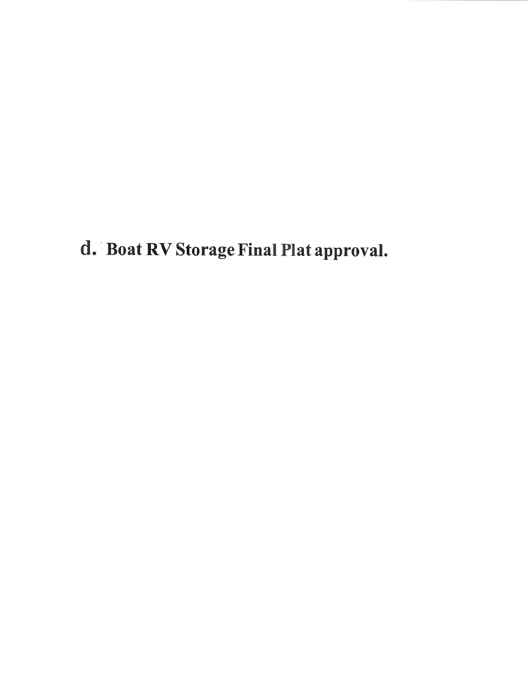d. Boat RV Storage Final Plat approval.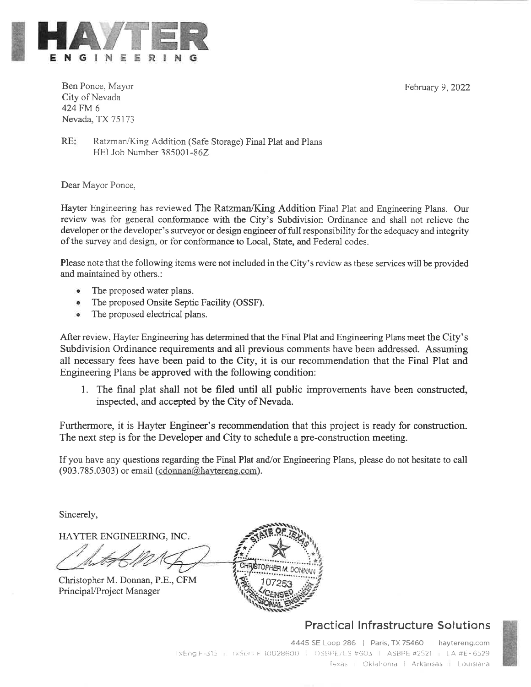February 9, 2022



Ben Ponce, Mayor City of Nevada 424 FM 6 Nevada, TX 75173

 $RE:$ Ratzman/King Addition (Safe Storage) Final Plat and Plans HEI Job Number 385001-86Z

Dear Mayor Ponce,

Hayter Engineering has reviewed The Ratzman/King Addition Final Plat and Engineering Plans. Our review was for general conformance with the City's Subdivision Ordinance and shall not relieve the developer or the developer's surveyor or design engineer of full responsibility for the adequacy and integrity of the survey and design, or for conformance to Local, State, and Federal codes.

Please note that the following items were not included in the City's review as these services will be provided and maintained by others.:

- The proposed water plans.
- The proposed Onsite Septic Facility (OSSF).
- The proposed electrical plans.

After review, Hayter Engineering has determined that the Final Plat and Engineering Plans meet the City's Subdivision Ordinance requirements and all previous comments have been addressed. Assuming all necessary fees have been paid to the City, it is our recommendation that the Final Plat and Engineering Plans be approved with the following condition:

1. The final plat shall not be filed until all public improvements have been constructed, inspected, and accepted by the City of Nevada.

Furthermore, it is Hayter Engineer's recommendation that this project is ready for construction. The next step is for the Developer and City to schedule a pre-construction meeting.

If you have any questions regarding the Final Plat and/or Engineering Plans, please do not hesitate to call (903.785.0303) or email (cdonnan@haytereng.com).

Sincerely,

HAYTER ENGINEERING, INC.

Christopher M. Donnan, P.E., CFM Principal/Project Manager



### **Practical Infrastructure Solutions**

4445 SE Loop 286 | Paris, TX 75460 | haytereng.com TxEng F 315 | TxSur, F 10028600 | OSBPE/LS #603 | ASBPE #2521 | LA #EF6529 Texas | Oklahoma | Arkansas | Louisiana

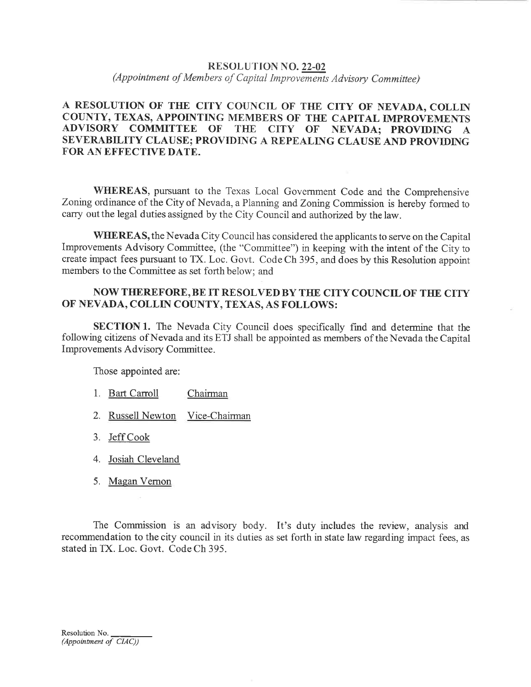#### **RESOLUTION NO. 22-02**

(Appointment of Members of Capital Improvements Advisory Committee)

#### A RESOLUTION OF THE CITY COUNCIL OF THE CITY OF NEVADA, COLLIN COUNTY, TEXAS, APPOINTING MEMBERS OF THE CAPITAL IMPROVEMENTS **ADVISORY COMMITTEE OF** THE CITY OF NEVADA; PROVIDING A SEVERABILITY CLAUSE: PROVIDING A REPEALING CLAUSE AND PROVIDING FOR AN EFFECTIVE DATE.

**WHEREAS**, pursuant to the Texas Local Government Code and the Comprehensive Zoning ordinance of the City of Nevada, a Planning and Zoning Commission is hereby formed to carry out the legal duties assigned by the City Council and authorized by the law.

WHEREAS, the Nevada City Council has considered the applicants to serve on the Capital Improvements Advisory Committee, (the "Committee") in keeping with the intent of the City to create impact fees pursuant to TX. Loc. Govt. Code Ch 395, and does by this Resolution appoint members to the Committee as set forth below; and

#### NOW THEREFORE, BE IT RESOLVED BY THE CITY COUNCIL OF THE CITY OF NEVADA, COLLIN COUNTY, TEXAS, AS FOLLOWS:

**SECTION 1.** The Nevada City Council does specifically find and determine that the following citizens of Nevada and its ETJ shall be appointed as members of the Nevada the Capital Improvements Advisory Committee.

Those appointed are:

- 1. Bart Carroll Chairman
- 2. Russell Newton Vice-Chairman
- 3. Jeff Cook
- 4. Josiah Cleveland
- 5. Magan Vernon

The Commission is an advisory body. It's duty includes the review, analysis and recommendation to the city council in its duties as set forth in state law regarding impact fees, as stated in TX. Loc. Govt. Code Ch 395.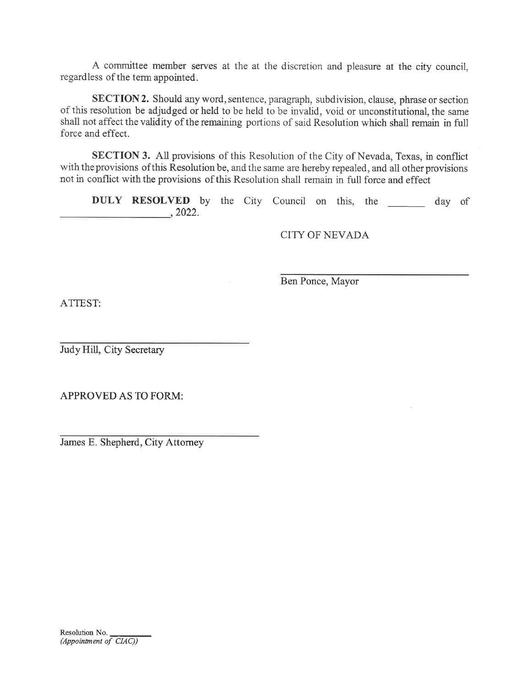<sup>A</sup>committee member serves at the at the discretion and pleasure at the city council,regardless of the term appointed.

SECTION 2. Should any word, sentence, paragraph, subdivision, clause, phrase or section of this resolution be adjudged or held to be held to be invalid, void or unconstitutional, the same shall not affect the validity of the remaining portions of said Resolution which shall remain in fullforce and effect.

SECTION 3. All provisions of this Resolution of the City of Nevada, Texas, in conflictwith the provisions of this Resolution be, and the same are hereby repealed, and all other provisions not in conflict with the provisions of this Resolution sha1l remain in full force and effect

DULY RESOLVED by the City Council on this, the \_\_\_\_\_\_ day of 2022.

CITY OF NEVADA

Ben Ponce, Mayor

ATTEST:

Judy Hill, City Secretary

APPROVED AS TO FORM:

James E. Shepherd, City Attorney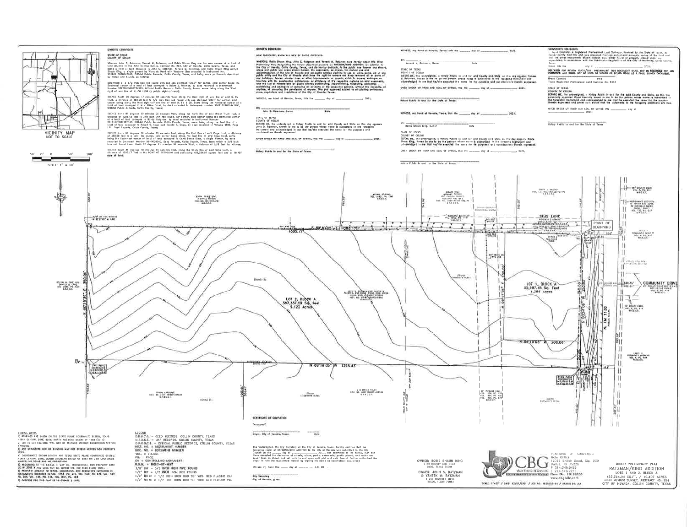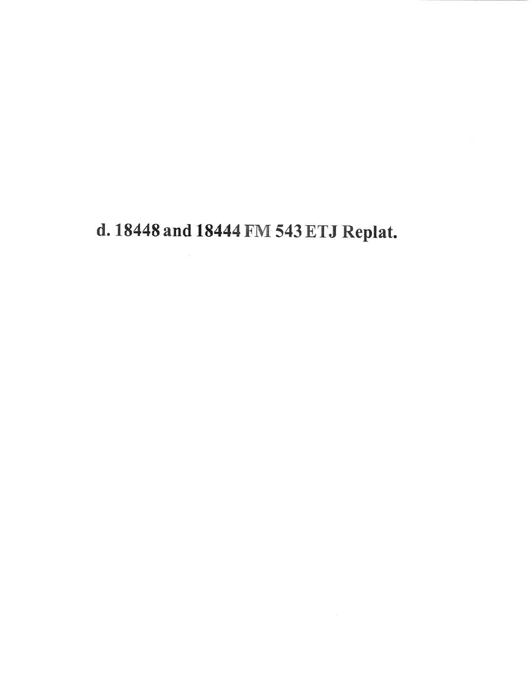## d. 18448 and 18444 FM 543 ETJ Replat.

 $\bar{\omega}$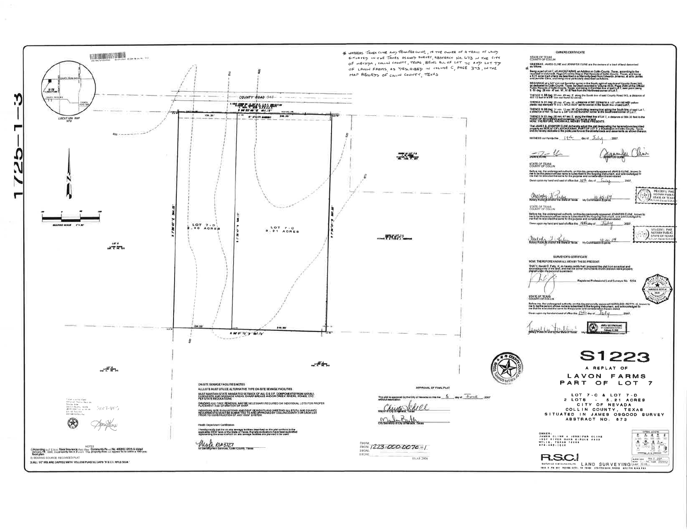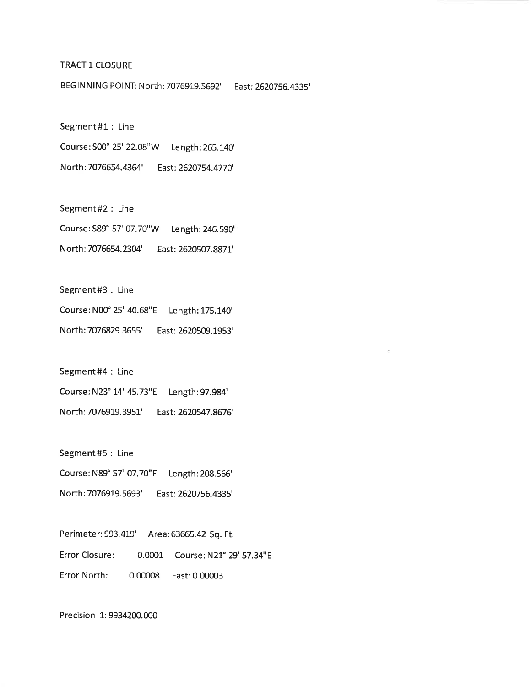#### TRACT 1 CLOSURE

BEGINNING POINT: North: 7076919.5692' East: 2620756.4335'

Segment#1 : LineCourse: S00' 25' 22.08"W Length: 265.!40' North: 7076654.4364' East: 262O754.4770'

Segment#2 : LineCourse:S89" 57' 07.70"W Length: 246.590' North: 7076654.2304' East: 2620507.887I'

Segment#3 : Line

Course: N00" 25' 40.68"E Length: L75.t4O' North: 7076829.3655' East: 2620509.1953'

Segment#4 : Line

Course: N23° 14' 45.73"E Length: 97.984' North: 7O769L9.3951' East: 2620547.8676'

Segment#S : Line

Course: N89" 57' 07.7O"E Length: 208.566'

North: 7076919.5693 East: 2620756.4335'

Perimeter:993.419' Area:63665.42 Sq. Ft.Error Closure: 0.0001 Course: N21" 29' 57.34"8Error North: 0.00008 East:0.00003

Precision 1: 9934200.000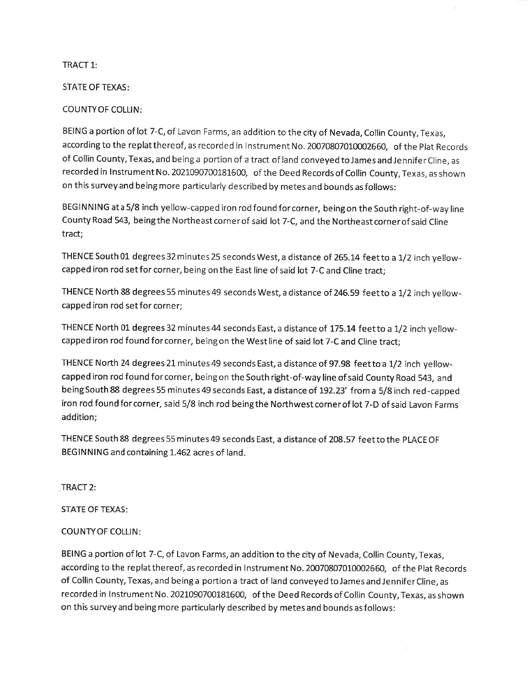#### TRACT 1:

#### STATE OF TEXAS

#### COUNTYOF COLLIN:

BEING a portion of lot 7-C, of Lavon Farms, an addition to the city of Nevada, Collin County, Texas,according to the replat thereof, as recorded in Instrument No. 20070807010002660, of the Plat Records of Collin County, Texas, and being a portion of a tract of land conveyed to James and Jennifer Cline, as recorded in lnstrument No. 2021090700181600, of the Deed Records of Collin County, Texas, as shownon this survey and being more particularly described by metes and bounds as follows:

BEGINNING ata 5/8 inch yellow-capped iron rod found forcorner, beingon the South right-of-way lineCounty Road 543, being the Northeast corner of said lot 7-C, and the Northeast corner of said Cline tract;

THENCE South 01 degrees 32 minutes 25 seconds West, a distance of 265.14 feet to a 1/2 inch yellowcapped iron rod setfor corner, being on the East line of said lot 7-C and Cline tract;

THENCE North 88 degrees 55 minutes 49 seconds West, a distance of 246.59 feetto a 1/2 inch yellowcapped iron rod set for corner;

THENCE North 01 degrees 32 minutes 44 seconds East, a distance of 175.14 feet to a 1/2 inch yellowcapped iron rod found for corner, being on the West line of said lot 7-C and Cline tract;

THENCE North 24 degrees 21 minutes 49 seconds East, a distance of 97.98 feet to a 1/2 inch yellowcapped iron rod found for corner, being on the South right-of-way line of said County Road 543, and being South 88 degrees 55 minutes 49 seconds East, a distance of 192.23' from a 5/8 inch red-cappec iron rod found for corner, said 5/8 inch rod being the Northwest corner of lot 7-D of said Lavon Farms addition;

THENCE South 88 degrees 55 minutes 49 seconds East, a distance of 2O8.57 feetto the PLACE OFBEGINNING and containing 1.462 acres of land.

#### TRACT 2:

#### STATE OF TEXAS

#### COUNTYOF COLLIN:

BEING a portion of lot 7-C, of Lavon Farms, an addition to the city of Nevada, Collin County, Texas,according to the replatthereof, as recorded in lnstrument No. 2OO7O8070L0002660, of the Plat Recordsof Collin County, Texas, and being a portion a tract of land conveyed to James and Jennifer Cline, as recorded in Instrument No. 2021090700181600, of the Deed Records of Collin County, Texas, as shown on this survey and being more particularly described by metes and bounds as follows: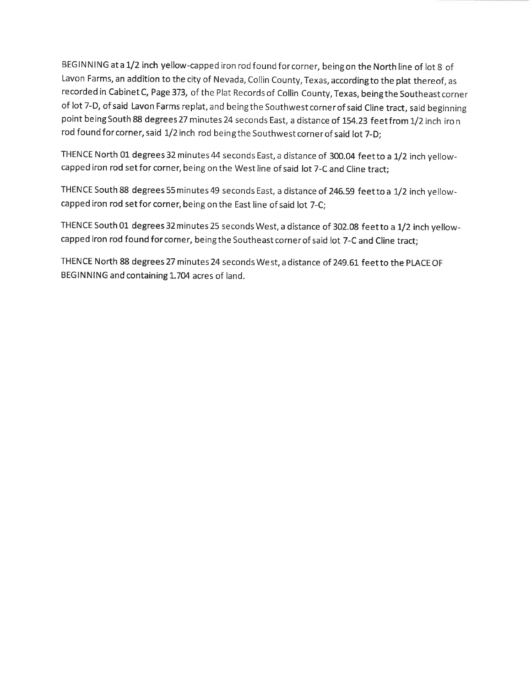BEGINNING at a 1/2 inch yellow-capped iron rod found for corner, being on the North line of lot 8 of Lavon Farms, an addition to the city of Nevada, Collin County, Texas, accordingto the plat thereof, asrecorded in Cabinet C, Page 373, of the Plat Records of Collin County, Texas, being the Southeast corne of lot 7-D, of said Lavon Farms replat, and being the Southwest corner of said Cline tract, said beginning point being South 88 degrees 27 minutes 24 seconds East, a distance of 154.23 <code>feetfrom</code> 1/2 inch iro <code>n</code> rod found for corner, said 1/2 inch rod being the Southwest corner of said lot 7-D;

THENCE North 01 degrees 32 minutes 44 seconds East, a distance of 300.04 feet to a 1/2 inch yellowcapped iron rod set for corner, being on the West line of said lot 7-C and Cline tract;

THENCE South 88 degrees 55 minutes 49 seconds East, a distance of 246.59 feet to a 1/2 inch yellowcapped iron rod set for corner, being on the East line of said lot 7-C;

THENCE South 01 degrees 32 minutes 25 seconds West, a distance of 302.08 feet to a 1/2 inch yellowcapped iron rod found forcorner, beingthe Southeastcornerof said lot 7-C and Cline tract;

THENCE North 88 degrees 27 minutes 24 seconds West, a distance of 249.61 feet to the PLACE OF BEGINNING and containing 1.704 acres of land.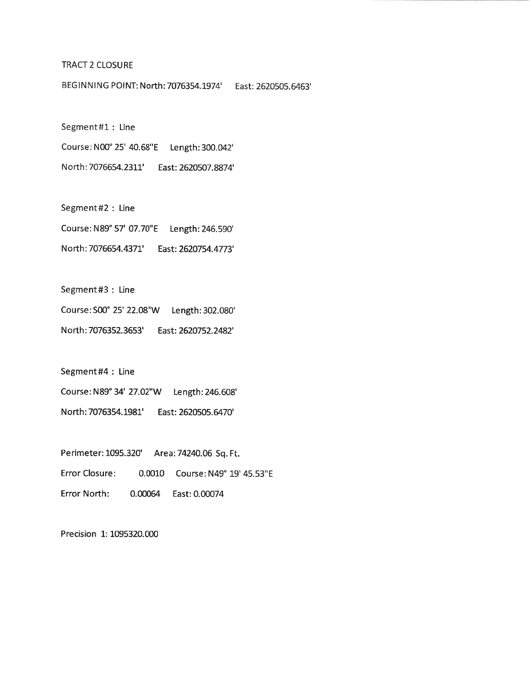#### TRACT 2 CLOSURE

BEGINNING POINT: North: 7O76354.t974' East: 2620505.6463'

Segment#1 : LineCourse: N00" 25' 40.68"E Length: 3OO.O42' North: 7076654.2311' East: 2620507.8874'

Segment#2 : LineCourse: N89" 57' 07.7O"E Length: 246.590' North: 7076654.437!' East: 2620754.4773'

Segment#3 : Line

Course:S00" 25' 22.08"W Length:302.080' North: 7076352.3653' East: 2620752.2482'

Segment#4 : Line

Course: N89" 34' 27.02"W Length:246.608' North: 7O76354.L981' East: 2620505.æ70'

Perimeter: 1095.320' Area:74240.06 Sq. Ft. Error Closure: 0.0010 Course: N49° 19' 45.53"E Error North: 0.00064 East:0.00074

Precision 1: 1095320.000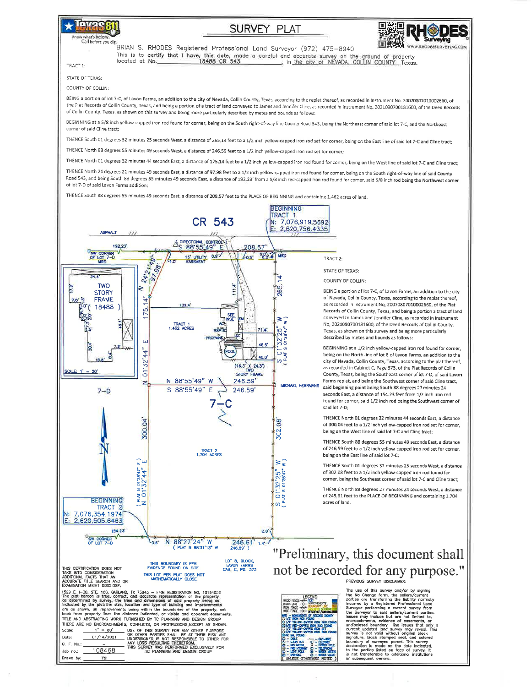

## w what's below.

**SURVEY PLAT** 



BRIAN S. RHODES Registered Professional Land Surveyor (972) 475-8940 

TRACT 1-

STATE OF TEXAS: COUNTY OF COLLIN:

BEING a portion of lot 7-C, of Lavon Farms, an addition to the city of Nevada, Collin County, Texas, according to the replat thereof, as recorded in Instrument No. 20070807010002660, of the Plat Records of Collin County, Texas, and being a portion of a tract of land conveyed to James and Jennifer Cline, as recorded in Instrument No. 2021090700181600, of the Deed Records of Collin County, Texas, as shown on this survey and being more particularly described by metes and bounds as follows:

BEGINNING at a 5/8 inch yellow-capped iron rod found for corner, being on the South right-of-way line County Road 543, being the Northeast corner of said lot 7-C, and the Northeast corner of said Cline tract:

THENCE South 01 degrees 32 minutes 25 seconds West, a distance of 265,14 feet to a 1/2 inch yellow-capped iron rod set for corner, being on the East line of said lot 7-C and Cline tract; THENCE North 88 degrees 55 minutes 49 seconds West, a distance of 246.59 feet to a 1/2 inch yellow-capped iron rod set for corner;

THENCE North 01 degrees 32 minutes 44 seconds East, a distance of 175.14 feet to a 1/2 inch yellow-capped iron rod found for corner, being on the West line of said lot 7-C and Cline tract;

THENCE North 24 degrees 21 minutes 49 seconds East, a distance of 97,98 feet to a 1/2 inch yellow-capped iron rod found for corner, being on the South right-of-way line of said County Road 543, and being South 88 degrees 55 minutes 49 seconds East, a distance of 192.23' from a 5/8 inch red-capped iron rod found for corner, said 5/8 inch rod being the Northwest corner of lot 7-D of said Lavon Farms addition:

THENCE South 88 degrees 55 minutes 49 seconds East, a distance of 208,57 feet to the PLACE OF BEGINNING and containing 1,462 acres of land.